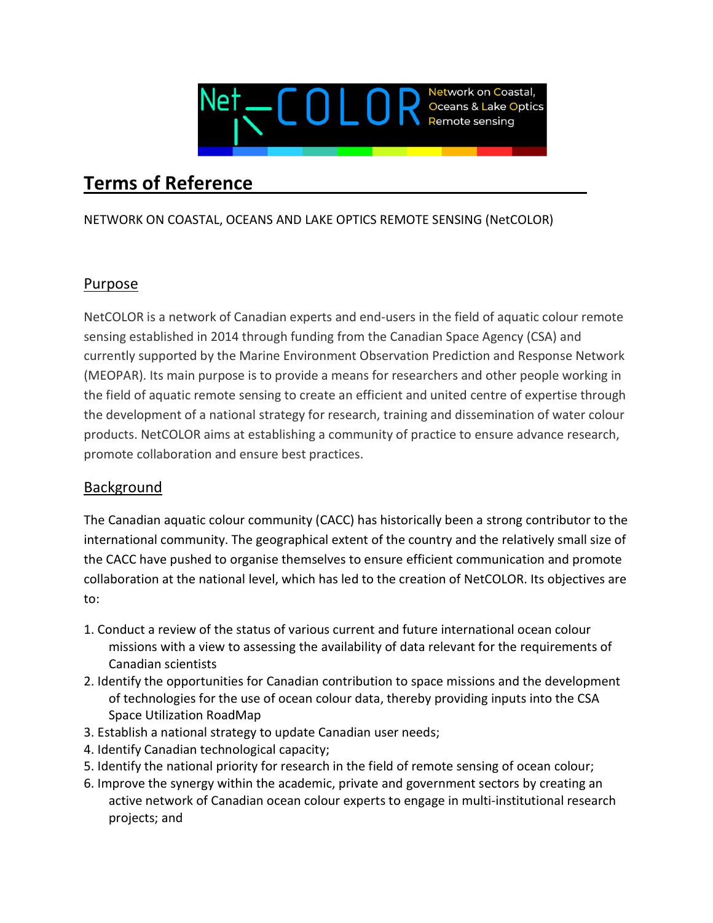

# Terms of Reference

#### NETWORK ON COASTAL, OCEANS AND LAKE OPTICS REMOTE SENSING (NetCOLOR)

## Purpose

NetCOLOR is a network of Canadian experts and end-users in the field of aquatic colour remote sensing established in 2014 through funding from the Canadian Space Agency (CSA) and currently supported by the Marine Environment Observation Prediction and Response Network (MEOPAR). Its main purpose is to provide a means for researchers and other people working in the field of aquatic remote sensing to create an efficient and united centre of expertise through the development of a national strategy for research, training and dissemination of water colour products. NetCOLOR aims at establishing a community of practice to ensure advance research, promote collaboration and ensure best practices.

#### Background

The Canadian aquatic colour community (CACC) has historically been a strong contributor to the international community. The geographical extent of the country and the relatively small size of the CACC have pushed to organise themselves to ensure efficient communication and promote collaboration at the national level, which has led to the creation of NetCOLOR. Its objectives are to:

- 1. Conduct a review of the status of various current and future international ocean colour missions with a view to assessing the availability of data relevant for the requirements of Canadian scientists
- 2. Identify the opportunities for Canadian contribution to space missions and the development of technologies for the use of ocean colour data, thereby providing inputs into the CSA Space Utilization RoadMap
- 3. Establish a national strategy to update Canadian user needs;
- 4. Identify Canadian technological capacity;
- 5. Identify the national priority for research in the field of remote sensing of ocean colour;
- 6. Improve the synergy within the academic, private and government sectors by creating an active network of Canadian ocean colour experts to engage in multi-institutional research projects; and